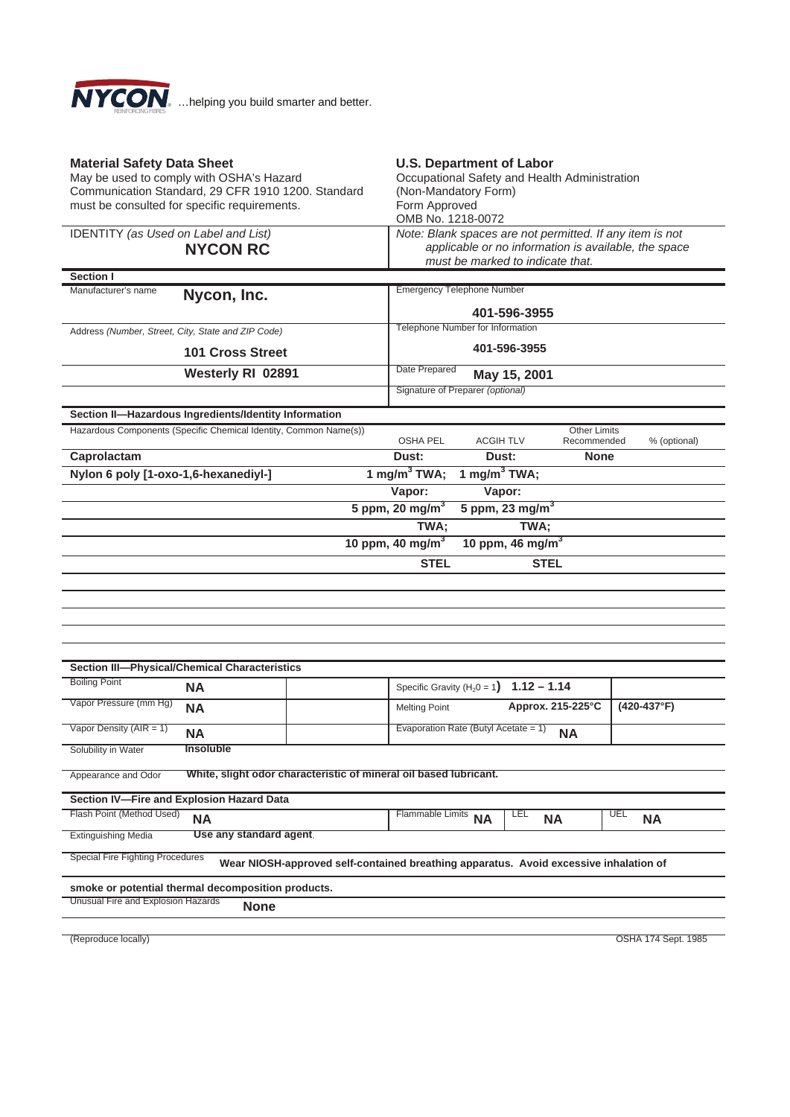

| <b>Material Safety Data Sheet</b><br>May be used to comply with OSHA's Hazard<br>Communication Standard, 29 CFR 1910 1200. Standard<br>must be consulted for specific requirements. | <b>U.S. Department of Labor</b><br>Occupational Safety and Health Administration<br>(Non-Mandatory Form)<br>Form Approved<br>OMB No. 1218-0072 |                                                                                                                  |  |  |  |  |  |
|-------------------------------------------------------------------------------------------------------------------------------------------------------------------------------------|------------------------------------------------------------------------------------------------------------------------------------------------|------------------------------------------------------------------------------------------------------------------|--|--|--|--|--|
| IDENTITY (as Used on Label and List)<br><b>NYCON RC</b>                                                                                                                             | must be marked to indicate that.                                                                                                               | Note: Blank spaces are not permitted. If any item is not<br>applicable or no information is available, the space |  |  |  |  |  |
| Section I                                                                                                                                                                           |                                                                                                                                                |                                                                                                                  |  |  |  |  |  |
| Manufacturer's name<br>Nycon, Inc.                                                                                                                                                  | 401-596-3955                                                                                                                                   | <b>Emergency Telephone Number</b>                                                                                |  |  |  |  |  |
| Address (Number, Street, City, State and ZIP Code)                                                                                                                                  | Telephone Number for Information                                                                                                               |                                                                                                                  |  |  |  |  |  |
| <b>101 Cross Street</b>                                                                                                                                                             | 401-596-3955                                                                                                                                   |                                                                                                                  |  |  |  |  |  |
| Westerly RI 02891                                                                                                                                                                   | Date Prepared<br>May 15, 2001                                                                                                                  |                                                                                                                  |  |  |  |  |  |
|                                                                                                                                                                                     | Signature of Preparer (optional)                                                                                                               |                                                                                                                  |  |  |  |  |  |
| Section II-Hazardous Ingredients/Identity Information                                                                                                                               |                                                                                                                                                |                                                                                                                  |  |  |  |  |  |
| Hazardous Components (Specific Chemical Identity, Common Name(s))                                                                                                                   | <b>Other Limits</b>                                                                                                                            |                                                                                                                  |  |  |  |  |  |
|                                                                                                                                                                                     | <b>OSHA PEL</b><br><b>ACGIH TLV</b><br>Recommended                                                                                             | % (optional)                                                                                                     |  |  |  |  |  |
| Caprolactam                                                                                                                                                                         | Dust:<br>Dust:<br><b>None</b>                                                                                                                  |                                                                                                                  |  |  |  |  |  |
| 1 mg/m $3$ TWA;<br>1 mg/m <sup>3</sup> TWA;<br>Nylon 6 poly [1-oxo-1,6-hexanediyl-]                                                                                                 |                                                                                                                                                |                                                                                                                  |  |  |  |  |  |
| Vapor:<br>Vapor:                                                                                                                                                                    |                                                                                                                                                |                                                                                                                  |  |  |  |  |  |
| 5 ppm, 20 mg/ $m^3$<br>5 ppm, 23 mg/ $m3$                                                                                                                                           |                                                                                                                                                |                                                                                                                  |  |  |  |  |  |
|                                                                                                                                                                                     | TWA;<br>TWA;                                                                                                                                   |                                                                                                                  |  |  |  |  |  |
|                                                                                                                                                                                     | 10 ppm, 40 mg/m $3$<br>10 ppm, 46 mg/m $3$                                                                                                     |                                                                                                                  |  |  |  |  |  |
| <b>STEL</b><br><b>STEL</b>                                                                                                                                                          |                                                                                                                                                |                                                                                                                  |  |  |  |  |  |
|                                                                                                                                                                                     |                                                                                                                                                |                                                                                                                  |  |  |  |  |  |
|                                                                                                                                                                                     |                                                                                                                                                |                                                                                                                  |  |  |  |  |  |
|                                                                                                                                                                                     |                                                                                                                                                |                                                                                                                  |  |  |  |  |  |
|                                                                                                                                                                                     |                                                                                                                                                |                                                                                                                  |  |  |  |  |  |
|                                                                                                                                                                                     |                                                                                                                                                |                                                                                                                  |  |  |  |  |  |
| <b>Section III-Physical/Chemical Characteristics</b><br><b>Boiling Point</b>                                                                                                        |                                                                                                                                                |                                                                                                                  |  |  |  |  |  |
| <b>NA</b>                                                                                                                                                                           | $1.12 - 1.14$<br>Specific Gravity ( $H_2$ 0 = 1)                                                                                               |                                                                                                                  |  |  |  |  |  |
| Vapor Pressure (mm Hg)<br><b>NA</b>                                                                                                                                                 | Approx. 215-225°C<br><b>Melting Point</b>                                                                                                      | $(420-437°F)$                                                                                                    |  |  |  |  |  |
| Vapor Density ( $AIR = 1$ )<br><b>NA</b>                                                                                                                                            | Evaporation Rate (Butyl Acetate = 1)<br><b>NA</b>                                                                                              |                                                                                                                  |  |  |  |  |  |
| <b>Insoluble</b><br>Solubility in Water                                                                                                                                             |                                                                                                                                                |                                                                                                                  |  |  |  |  |  |
| White, slight odor characteristic of mineral oil based lubricant.<br>Appearance and Odor                                                                                            |                                                                                                                                                |                                                                                                                  |  |  |  |  |  |
| Section IV-Fire and Explosion Hazard Data                                                                                                                                           |                                                                                                                                                |                                                                                                                  |  |  |  |  |  |
| Flash Point (Method Used)<br><b>NA</b>                                                                                                                                              | <b>LEL</b><br>Flammable Limits<br><b>NA</b><br><b>NA</b>                                                                                       | <b>UEL</b><br><b>NA</b>                                                                                          |  |  |  |  |  |
| Use any standard agent.<br><b>Extinguishing Media</b>                                                                                                                               |                                                                                                                                                |                                                                                                                  |  |  |  |  |  |
| <b>Special Fire Fighting Procedures</b><br>Wear NIOSH-approved self-contained breathing apparatus. Avoid excessive inhalation of                                                    |                                                                                                                                                |                                                                                                                  |  |  |  |  |  |
| smoke or potential thermal decomposition products.                                                                                                                                  |                                                                                                                                                |                                                                                                                  |  |  |  |  |  |
| Unusual Fire and Explosion Hazards<br><b>None</b>                                                                                                                                   |                                                                                                                                                |                                                                                                                  |  |  |  |  |  |
|                                                                                                                                                                                     |                                                                                                                                                |                                                                                                                  |  |  |  |  |  |
| (Reproduce locally)                                                                                                                                                                 |                                                                                                                                                | OSHA 174 Sept. 1985                                                                                              |  |  |  |  |  |